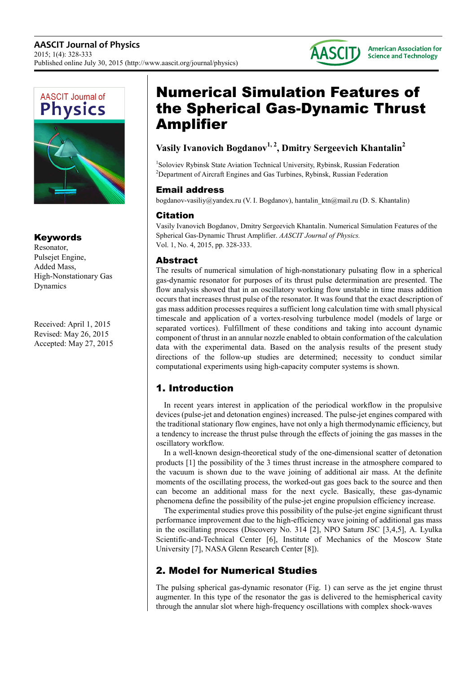



### Keywords

Resonator, Pulsejet Engine, Added Mass, High-Nonstationary Gas Dynamics

Received: April 1, 2015 Revised: May 26, 2015 Accepted: May 27, 2015

# Numerical Simulation Features of the Spherical Gas-Dynamic Thrust Amplifier

### **Vasily Ivanovich Bogdanov1, 2, Dmitry Sergeevich Khantalin<sup>2</sup>**

<sup>1</sup>Soloviev Rybinsk State Aviation Technical University, Rybinsk, Russian Federation <sup>2</sup>Department of Aircraft Engines and Gas Turbines, Rybinsk, Russian Federation

#### Email address

bogdanov-vasiliy@yandex.ru (V. I. Bogdanov), hantalin\_ktn@mail.ru (D. S. Khantalin)

### Citation

Vasily Ivanovich Bogdanov, Dmitry Sergeevich Khantalin. Numerical Simulation Features of the Spherical Gas-Dynamic Thrust Amplifier. *AASCIT Journal of Physics.* Vol. 1, No. 4, 2015, pp. 328-333.

### Abstract

The results of numerical simulation of high-nonstationary pulsating flow in a spherical gas-dynamic resonator for purposes of its thrust pulse determination are presented. The flow analysis showed that in an oscillatory working flow unstable in time mass addition occurs that increases thrust pulse of the resonator. It was found that the exact description of gas mass addition processes requires a sufficient long calculation time with small physical timescale and application of a vortex-resolving turbulence model (models of large or separated vortices). Fulfillment of these conditions and taking into account dynamic component of thrust in an annular nozzle enabled to obtain conformation of the calculation data with the experimental data. Based on the analysis results of the present study directions of the follow-up studies are determined; necessity to conduct similar computational experiments using high-capacity computer systems is shown.

## 1. Introduction

In recent years interest in application of the periodical workflow in the propulsive devices (pulse-jet and detonation engines) increased. The pulse-jet engines compared with the traditional stationary flow engines, have not only a high thermodynamic efficiency, but a tendency to increase the thrust pulse through the effects of joining the gas masses in the oscillatory workflow.

In a well-known design-theoretical study of the one-dimensional scatter of detonation products [1] the possibility of the 3 times thrust increase in the atmosphere compared to the vacuum is shown due to the wave joining of additional air mass. At the definite moments of the oscillating process, the worked-out gas goes back to the source and then can become an additional mass for the next cycle. Basically, these gas-dynamic phenomena define the possibility of the pulse-jet engine propulsion efficiency increase.

The experimental studies prove this possibility of the pulse-jet engine significant thrust performance improvement due to the high-efficiency wave joining of additional gas mass in the oscillating process (Discovery No. 314 [2], NPO Saturn JSC [3,4,5], A. Lyulka Scientific-and-Technical Center [6], Institute of Mechanics of the Moscow State University [7], NASA Glenn Research Center [8]).

## 2. Model for Numerical Studies

The pulsing spherical gas-dynamic resonator (Fig. 1) can serve as the jet engine thrust augmenter. In this type of the resonator the gas is delivered to the hemispherical cavity through the annular slot where high-frequency oscillations with complex shock-waves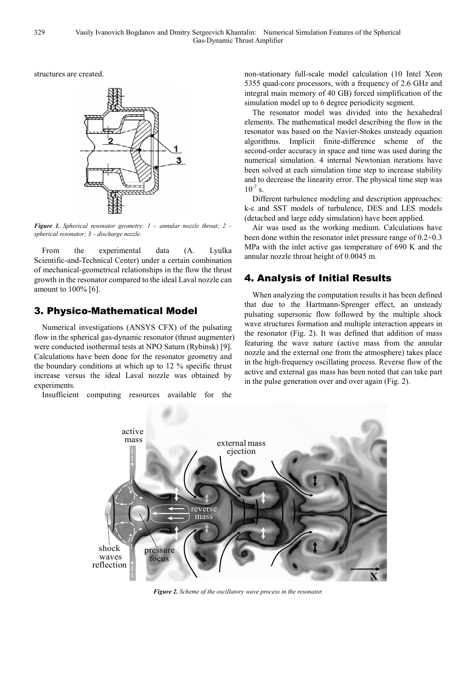structures are created.



*Figure 1. Spherical resonator geometry: 1 – annular nozzle throat; 2 – spherical resonator; 3 – discharge nozzle.* 

From the experimental data Scientific-and-Technical Center) under a certain combination of mechanical-geometrical relationships in the flow the thrust growth in the resonator compared to the ideal Laval nozzle can amount to 100% [6]. (A. Lyulka

### 3. Physico-Mathematical Model

Numerical investigations (ANSYS CFX) CFX) of the pulsating flow in the spherical gas-dynamic resonator (thrust augmenter) were conducted isothermal tests at NPO Saturn (Rybinsk) [9]. Calculations have been done for the resonator geometry and the boundary conditions at which up to 12 12 % specific thrust increase versus the ideal Laval nozzle was obtained by experiments.

Insufficient computing resources available for the

non-stationary full-scale model model calculation (10 Intel Xeon 5355 quad-core processors, with a frequency of 2.6 GHz and integral main memory of 40 GB) forced simplification of the simulation model up to 6 degree periodicity segment.

The resonator model was divided into the hexahedral elements. The mathematical model model describing the flow in the resonator was based on the Navier Navier-Stokes unsteady equation algorithms. Implicit finite-difference scheme of the second-order accuracy in space and time was used during the numerical simulation. 4 internal Newtonian iterations have been solved at each simulation time step to increase stability and to decrease the linearity error. The physical time step was  $10^{-7}$  s.

Different turbulence modeling and description approaches: k-ε and SST models of turbulence, DES and LES models (detached and large eddy simulation) have been applied.

Air was used as the working medium. Calculations have been done within the resonator inlet pressure range of 0.2÷0.3 MPa with the inlet active gas temperature of 690 K and the annular nozzle throat height of 0.0045 m.

### 4. Analysis of Initial Results

When analyzing the computation results it has been defined that due to the Hartmann-Sprenger Sprenger effect, an unsteady pulsating supersonic flow followed by the multiple shock wave structures formation and multiple interaction appears in the resonator (Fig. 2). It was defined that addition of mass featuring the wave nature (active (active mass from the annular nozzle and the external one from the atmosphere) takes place in the high-frequency oscillating process. Reverse flow of the active and external gas mass has has been noted that can take part in the pulse generation over and over again (Fig. 2).



*Figure 2. Scheme of the oscillatory wave process in the resonator.*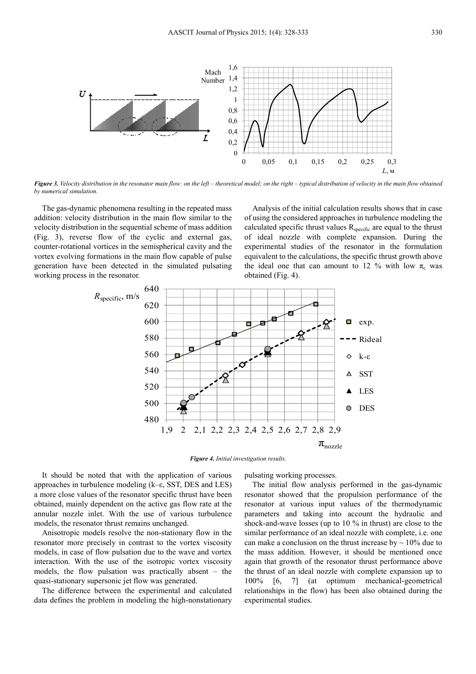

*Figure 3. Velocity distribution in the resonator main flow: on the left – theoretical model; on the right – typical distribution of velocity in the main flow obtained by numerical simulation.* 

The gas-dynamic phenomena resulting in the repeated mass addition: velocity distribution in the main flow similar to the velocity distribution in the sequential scheme of mass addition (Fig. 3), reverse flow of the cyclic and external gas, counter-rotational vortices in the semispherical cavity and the vortex evolving formations in the main flow capable of pulse generation have been detected in the simulated pulsating working process in the resonator.

Analysis of the initial calculation results shows that in case of using the considered approaches in turbulence modeling the calculated specific thrust values R<sub>specific</sub> are equal to the thrust of ideal nozzle with complete expansion. During the experimental studies of the resonator in the formulation equivalent to the calculations, the specific thrust growth above the ideal one that can amount to 12 % with low  $\pi_c$  was obtained (Fig. 4).



*Figure 4. Initial investigation results.* 

It should be noted that with the application of various approaches in turbulence modeling (k–ε, SST, DES and LES) a more close values of the resonator specific thrust have been obtained, mainly dependent on the active gas flow rate at the annular nozzle inlet. With the use of various turbulence models, the resonator thrust remains unchanged.

Anisotropic models resolve the non-stationary flow in the resonator more precisely in contrast to the vortex viscosity models, in case of flow pulsation due to the wave and vortex interaction. With the use of the isotropic vortex viscosity models, the flow pulsation was practically absent – the quasi-stationary supersonic jet flow was generated.

The difference between the experimental and calculated data defines the problem in modeling the high-nonstationary pulsating working processes.

The initial flow analysis performed in the gas-dynamic resonator showed that the propulsion performance of the resonator at various input values of the thermodynamic parameters and taking into account the hydraulic and shock-and-wave losses (up to 10 % in thrust) are close to the similar performance of an ideal nozzle with complete, i.e. one can make a conclusion on the thrust increase by  $\sim 10\%$  due to the mass addition. However, it should be mentioned once again that growth of the resonator thrust performance above the thrust of an ideal nozzle with complete expansion up to 100% [6, 7] (at optimum mechanical-geometrical relationships in the flow) has been also obtained during the experimental studies.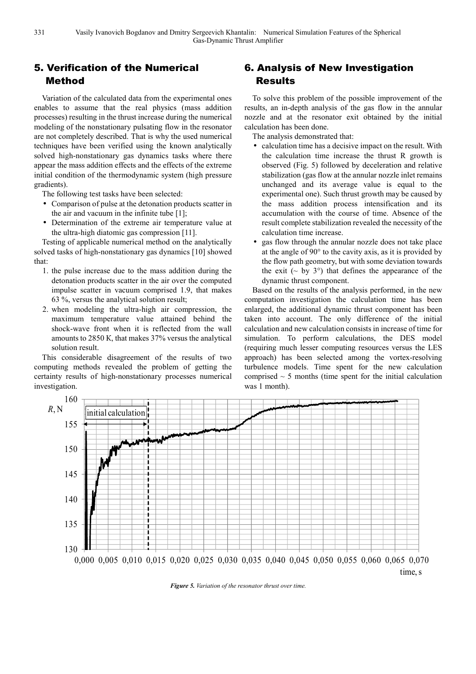### 5. Verification of the Numerical Method

Variation of the calculated data from the experimental ones enables to assume that the real physics (mass addition processes) resulting in the thrust increase during the numerical modeling of the nonstationary pulsating flow in the resonator are not completely described. That is why the used numerical techniques have been verified using the known analytically solved high-nonstationary gas dynamics tasks where there appear the mass addition effects and the effects of the extreme initial condition of the thermodynamic system (high pressure gradients).

The following test tasks have been selected:

- Comparison of pulse at the detonation products scatter in the air and vacuum in the infinite tube [1];
- Determination of the extreme air temperature value at the ultra-high diatomic gas compression [11].

Testing of applicable numerical method on the analytically solved tasks of high-nonstationary gas dynamics [10] showed that:

- 1. the pulse increase due to the mass addition during the detonation products scatter in the air over the computed impulse scatter in vacuum comprised 1.9, that makes 63 %, versus the analytical solution result;
- 2. when modeling the ultra-high air compression, the maximum temperature value attained behind the shock-wave front when it is reflected from the wall amounts to 2850 К, that makes 37% versus the analytical solution result.

This considerable disagreement of the results of two computing methods revealed the problem of getting the certainty results of high-nonstationary processes numerical investigation.

### 6. Analysis of New Investigation Results

To solve this problem of the possible improvement of the results, an in-depth analysis of the gas flow in the annular nozzle and at the resonator exit obtained by the initial calculation has been done.

The analysis demonstrated that:

- calculation time has a decisive impact on the result. With the calculation time increase the thrust R growth is observed (Fig. 5) followed by deceleration and relative stabilization (gas flow at the annular nozzle inlet remains unchanged and its average value is equal to the experimental one). Such thrust growth may be caused by the mass addition process intensification and its accumulation with the course of time. Absence of the result complete stabilization revealed the necessity of the calculation time increase.
- gas flow through the annular nozzle does not take place at the angle of 90° to the cavity axis, as it is provided by the flow path geometry, but with some deviation towards the exit ( $\sim$  by 3 $\degree$ ) that defines the appearance of the dynamic thrust component.

Based on the results of the analysis performed, in the new computation investigation the calculation time has been enlarged, the additional dynamic thrust component has been taken into account. The only difference of the initial calculation and new calculation consists in increase of time for simulation. To perform calculations, the DES model (requiring much lesser computing resources versus the LES approach) has been selected among the vortex-resolving turbulence models. Time spent for the new calculation comprised  $\sim$  5 months (time spent for the initial calculation was 1 month).



*Figure 5. Variation of the resonator thrust over time.*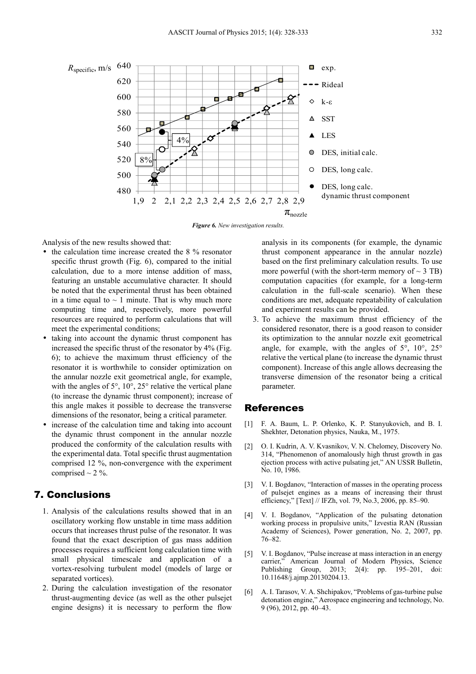

*Figure 6. New investigation results.* 

Analysis of the new results showed that:

- the calculation time increase created the 8 % resonator specific thrust growth (Fig. 6), compared to the initial calculation, due to a more intense addition of mass, featuring an unstable accumulative character. It should be noted that the experimental thrust has been obtained in a time equal to  $\sim$  1 minute. That is why much more computing time and, respectively, more powerful resources are required to perform calculations that will meet the experimental conditions;
- taking into account the dynamic thrust component has increased the specific thrust of the resonator by 4% (Fig. 6); to achieve the maximum thrust efficiency of the resonator it is worthwhile to consider optimization on the annular nozzle exit geometrical angle, for example, with the angles of 5°, 10°, 25° relative the vertical plane (to increase the dynamic thrust component); increase of this angle makes it possible to decrease the transverse dimensions of the resonator, being a critical parameter.
- increase of the calculation time and taking into account the dynamic thrust component in the annular nozzle produced the conformity of the calculation results with the experimental data. Total specific thrust augmentation comprised 12 %, non-convergence with the experiment comprised  $\sim$  2 %.

#### 7. Conclusions

- 1. Analysis of the calculations results showed that in an oscillatory working flow unstable in time mass addition occurs that increases thrust pulse of the resonator. It was found that the exact description of gas mass addition processes requires a sufficient long calculation time with small physical timescale and application of a vortex-resolving turbulent model (models of large or separated vortices).
- 2. During the calculation investigation of the resonator thrust-augmenting device (as well as the other pulsejet engine designs) it is necessary to perform the flow

analysis in its components (for example, the dynamic thrust component appearance in the annular nozzle) based on the first preliminary calculation results. To use more powerful (with the short-term memory of  $\sim$  3 TB) computation capacities (for example, for a long-term calculation in the full-scale scenario). When these conditions are met, adequate repeatability of calculation and experiment results can be provided.

3. To achieve the maximum thrust efficiency of the considered resonator, there is a good reason to consider its optimization to the annular nozzle exit geometrical angle, for example, with the angles of  $5^\circ$ ,  $10^\circ$ ,  $25^\circ$ relative the vertical plane (to increase the dynamic thrust component). Increase of this angle allows decreasing the transverse dimension of the resonator being a critical parameter.

#### References

- [1] F. A. Baum, L. P. Orlenko, K. P. Stanyukovich, and B. I. Shekhter, Detonation physics, Nauka, M., 1975.
- [2] O. I. Kudrin, A. V. Kvasnikov, V. N. Chelomey, Discovery No. 314, "Phenomenon of anomalously high thrust growth in gas ejection process with active pulsating jet," AN USSR Bulletin, No. 10, 1986.
- [3] V. I. Bogdanov, "Interaction of masses in the operating process of pulsejet engines as a means of increasing their thrust efficiency," [Text] // IFZh, vol. 79, No.3, 2006, pp. 85–90.
- [4] V. I. Bogdanov, "Application of the pulsating detonation working process in propulsive units," Izvestia RAN (Russian Academy of Sciences), Power generation, No. 2, 2007, pp. 76–82.
- [5] V. I. Bogdanov, "Pulse increase at mass interaction in an energy carrier," American Journal of Modern Physics, Science Publishing Group, 2013; 2(4): pp. 195–201, doi: 10.11648/j.ajmp.20130204.13.
- [6] A. I. Tarasov, V. A. Shchipakov, "Problems of gas-turbine pulse detonation engine," Aerospace engineering and technology, No. 9 (96), 2012, pp. 40–43.